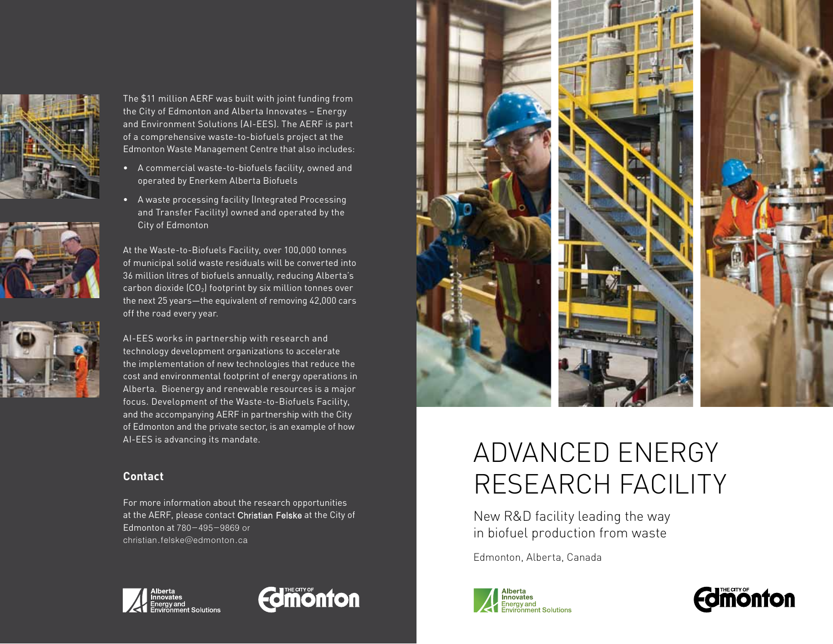





The \$11 million AERF was built with joint funding from the City of Edmonton and Alberta Innovates – Energy and Environment Solutions (AI-EES). The AERF is part of a comprehensive waste-to-biofuels project at the Edmonton Waste Management Centre that also includes:

- A commercial waste-to-biofuels facility, owned and operated by Enerkem Alberta Biofuels
- A waste processing facility (Integrated Processing and Transfer Facility) owned and operated by the City of Edmonton

At the Waste-to-Biofuels Facility, over 100,000 tonnes of municipal solid waste residuals will be converted into 36 million litres of biofuels annually, reducing Alberta's carbon dioxide  $(CO<sub>2</sub>)$  footprint by six million tonnes over the next 25 years—the equivalent of removing 42,000 cars off the road every year.

AI-EES works in partnership with research and technology development organizations to accelerate the implementation of new technologies that reduce the cost and environmental footprint of energy operations in Alberta. Bioenergy and renewable resources is a major focus. Development of the Waste-to-Biofuels Facility, and the accompanying AERF in partnership with the City of Edmonton and the private sector, is an example of how AI-EES is advancing its mandate.

## **Contact**

For more information about the research opportunities at the AERF, please contact Christian Felske at the City of Edmonton at 780-495-9869 or christian.felske@edmonton.ca







## ADVANCED ENERGY RESEARCH FACILITY

New R&D facility leading the way in biofuel production from waste

Edmonton, Alberta, Canada